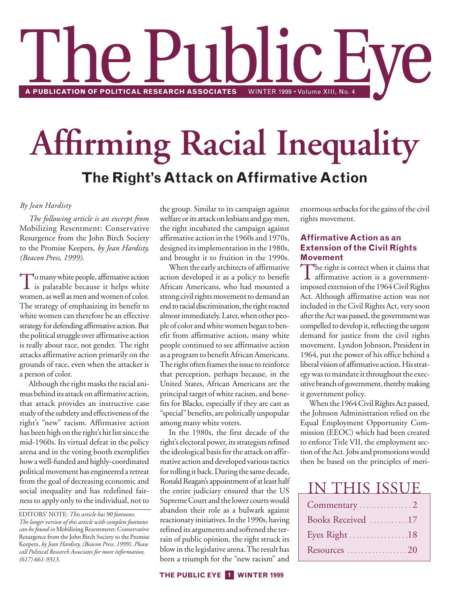# **THE PUBLICATION OF POLITICAL RESEARCH ASSOCIATES** WINTER 1999 • Volume XIII, No. 4

# **Affirming Racial Inequality The Right's Attack on Affirmative Action**

# *By Jean Hardisty*

*The following article is an excerpt from* Mobilizing Resentment: Conservative Resurgence from the John Birch Society to the Promise Keepers, *by Jean Hardisty, (Beacon Press, 1999).*

To many white people, affirmative action is palatable because it helps white women, as well as men and women of color. The strategy of emphasizing its benefit to white women can therefore be an effective strategy for defending affirmative action. But the political struggle over affirmative action is really about race, not gender. The right attacks affirmative action primarily on the grounds of race, even when the attacker is a person of color.

Although the right masks the racial animus behind its attack on affirmative action, that attack provides an instructive case study of the subtlety and effectiveness of the right's "new" racism. Affirmative action has been high on the right's hit list since the mid-1960s. Its virtual defeat in the policy arena and in the voting booth exemplifies how a well-funded and highly-coordinated political movement has engineered a retreat from the goal of decreasing economic and social inequality and has redefined fairness to apply only to the individual, not to

the group. Similar to its campaign against welfare or its attack on lesbians and gay men, the right incubated the campaign against affirmative action in the 1960s and 1970s, designed its implementation in the 1980s, and brought it to fruition in the 1990s.

When the early architects of affirmative action developed it as a policy to benefit African Americans, who had mounted a strong civil rights movement to demand an end to racial discrimination, the right reacted almost immediately. Later, when other people of color and white women began to benefit from affirmative action, many white people continued to see affirmative action as a program to benefit African Americans. The right often frames the issue to reinforce that perception, perhaps because, in the United States, African Americans are the principal target of white racism, and benefits for Blacks, especially if they are cast as "special" benefits, are politically unpopular among many white voters.

In the 1980s, the first decade of the right's electoral power, its strategists refined the ideological basis for the attack on affirmative action and developed various tactics for rolling it back. During the same decade, Ronald Reagan's appointment of at least half the entire judiciary ensured that the US Supreme Court and the lower courts would abandon their role as a bulwark against reactionary initiatives. In the 1990s, having refined its arguments and softened the terrain of public opinion, the right struck its blow in the legislative arena. The result has been a triumph for the "new racism" and enormous setbacks for the gains of the civil rights movement.

# **Affirmative Action as an Extension of the Civil Rights Movement**

The right is correct when it claims that<br>affirmative action is a governmentimposed extension of the 1964 Civil Rights Act. Although affirmative action was not included in the Civil Rights Act, very soon after the Act was passed, the government was compelled to develop it, reflecting the urgent demand for justice from the civil rights movement. Lyndon Johnson, President in 1964, put the power of his office behind a liberal vision of affirmative action. His strategy was to mandate it throughout the executive branch of government, thereby making it government policy.

When the 1964 Civil Rights Act passed, the Johnson Administration relied on the Equal Employment Opportunity Commission (EEOC) which had been created to enforce Title VII, the employment section of the Act. Jobs and promotions would then be based on the principles of meri-

# IN THIS ISSUE

EDITORS' NOTE: *This article has 90 footnotes. The longer version of this article with complete footnotes can be found in* Mobilizing Resentment: Conservative Resurgence from the John Birch Society to the Promise Keepers*, by Jean Hardisty, (Beacon Press, 1999). Please call Political Research Associates for more information, (617) 661-9313.*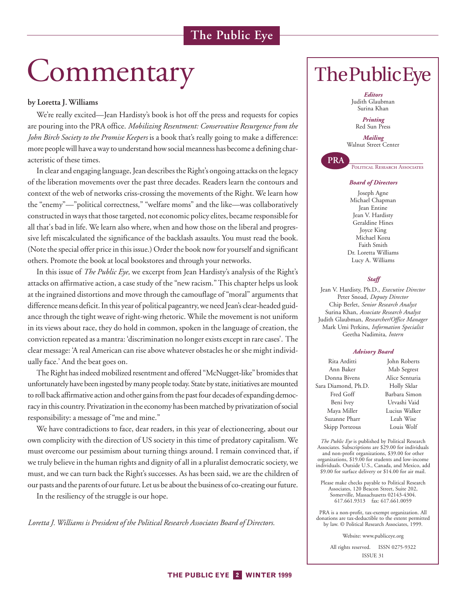# Commentary ThePublicEye

## **by Loretta J. Williams**

We're really excited—Jean Hardisty's book is hot off the press and requests for copies are pouring into the PRA office. *Mobilizing Resentment: Conservative Resurgence from the John Birch Society to the Promise Keepers* is a book that's really going to make a difference: more people will have a way to understand how social meanness has become a defining characteristic of these times.

In clear and engaging language, Jean describes the Right's ongoing attacks on the legacy of the liberation movements over the past three decades. Readers learn the contours and context of the web of networks criss-crossing the movements of the Right. We learn how the "enemy"—"political correctness," "welfare moms" and the like—was collaboratively constructed in ways that those targeted, not economic policy elites, became responsible for all that's bad in life. We learn also where, when and how those on the liberal and progressive left miscalculated the significance of the backlash assaults. You must read the book. (Note the special offer price in this issue.) Order the book now for yourself and significant others. Promote the book at local bookstores and through your networks.

In this issue of *The Public Eye,* we excerpt from Jean Hardisty's analysis of the Right's attacks on affirmative action, a case study of the "new racism." This chapter helps us look at the ingrained distortions and move through the camouflage of "moral" arguments that difference means deficit. In this year of political pageantry, we need Jean's clear-headed guidance through the tight weave of right-wing rhetoric. While the movement is not uniform in its views about race, they do hold in common, spoken in the language of creation, the conviction repeated as a mantra: 'discrimination no longer exists except in rare cases'. The clear message: 'A real American can rise above whatever obstacles he or she might individually face.' And the beat goes on.

The Right has indeed mobilized resentment and offered "McNugget-like" bromides that unfortunately have been ingested by many people today. State by state, initiatives are mounted to roll back affirmative action and other gains from the past four decades of expanding democracy in this country. Privatization in the economy has been matched by privatization of social responsibility: a message of "me and mine."

We have contradictions to face, dear readers, in this year of electioneering, about our own complicity with the direction of US society in this time of predatory capitalism. We must overcome our pessimism about turning things around. I remain convinced that, if we truly believe in the human rights and dignity of all in a pluralist democratic society, we must, and we can turn back the Right's successes. As has been said, we are the children of our pasts and the parents of our future. Let us be about the business of co-creating our future.

In the resiliency of the struggle is our hope.

*Loretta J. Williams is President of the Political Research Associates Board of Directors.*

*Editors* Judith Glaubman Surina Khan

*Printing* Red Sun Press

*Mailing* Walnut Street Center

#### **PRA** Political Research Associates

#### *Board of Directors*

Joseph Agne Michael Chapman Jean Entine Jean V. Hardisty Geraldine Hines Joyce King Michael Kozu Faith Smith Dr. Loretta Williams Lucy A. Williams

#### *Staff*

Jean V. Hardisty, Ph.D., *Executive Director* Peter Snoad, *Deputy Director* Chip Berlet, *Senior Research Analyst* Surina Khan, *Associate Research Analyst* Judith Glaubman, *Researcher/Office Manager* Mark Umi Perkins, *Information Specialist* Geetha Nadimita, *Intern*

#### *Advisory Board*

| Rita Arditti        | John Roberts   |  |
|---------------------|----------------|--|
| Ann Baker           | Mab Segrest    |  |
| Donna Bivens        | Alice Senturia |  |
| Sara Diamond, Ph.D. | Holly Sklar    |  |
| Fred Goff           | Barbara Simon  |  |
| Beni Ivey           | Urvashi Vaid   |  |
| Maya Miller         | Lucius Walker  |  |
| Suzanne Pharr       | Leah Wise      |  |
| Skipp Porteous      | Louis Wolf     |  |
|                     |                |  |

*The Public Eye* is published by Political Research Associates. Subscriptions are \$29.00 for individuals and non-profit organizations, \$39.00 for other organizations, \$19.00 for students and low-income individuals. Outside U.S., Canada, and Mexico, add \$9.00 for surface delivery or \$14.00 for air mail.

Please make checks payable to Political Research Associates, 120 Beacon Street, Suite 202, Somerville, Massachusetts 02143-4304. 617.661.9313 fax: 617.661.0059

PRA is a non-profit, tax-exempt organization. All donations are tax-deductible to the extent permitted by law. © Political Research Associates, 1999.

Website: www.publiceye.org

All rights reserved. ISSN 0275-9322 ISSUE 31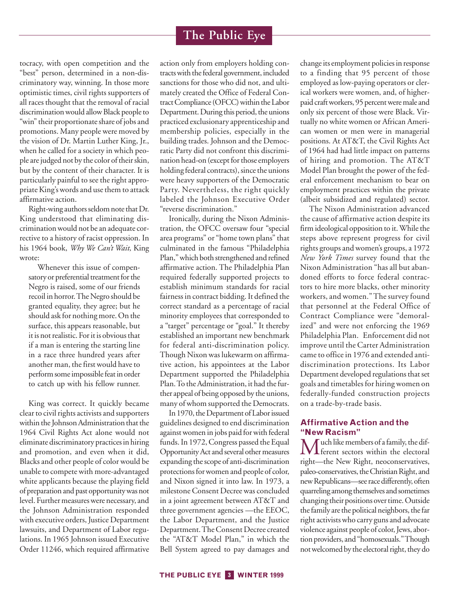tocracy, with open competition and the "best" person, determined in a non-discriminatory way, winning. In those more optimistic times, civil rights supporters of all races thought that the removal of racial discrimination would allow Black people to "win" their proportionate share of jobs and promotions. Many people were moved by the vision of Dr. Martin Luther King, Jr., when he called for a society in which people are judged not by the color of their skin, but by the content of their character. It is particularly painful to see the right appropriate King's words and use them to attack affirmative action.

Right-wing authors seldom note that Dr. King understood that eliminating discrimination would not be an adequate corrective to a history of racist oppression. In his 1964 book, *Why We Can't Wait,* King wrote:

Whenever this issue of compensatory or preferential treatment for the Negro is raised, some of our friends recoil in horror. The Negro should be granted equality, they agree; but he should ask for nothing more. On the surface, this appears reasonable, but it is not realistic. For it is obvious that if a man is entering the starting line in a race three hundred years after another man, the first would have to perform some impossible feat in order to catch up with his fellow runner.

King was correct. It quickly became clear to civil rights activists and supporters within the Johnson Administration that the 1964 Civil Rights Act alone would not eliminate discriminatory practices in hiring and promotion, and even when it did, Blacks and other people of color would be unable to compete with more-advantaged white applicants because the playing field of preparation and past opportunity was not level. Further measures were necessary, and the Johnson Administration responded with executive orders, Justice Department lawsuits, and Department of Labor regulations. In 1965 Johnson issued Executive Order 11246, which required affirmative action only from employers holding contracts with the federal government, included sanctions for those who did not, and ultimately created the Office of Federal Contract Compliance (OFCC) within the Labor Department. During this period, the unions practiced exclusionary apprenticeship and membership policies, especially in the building trades. Johnson and the Democratic Party did not confront this discrimination head-on (except for those employers holding federal contracts), since the unions were heavy supporters of the Democratic Party. Nevertheless, the right quickly labeled the Johnson Executive Order "reverse discrimination."

Ironically, during the Nixon Administration, the OFCC oversaw four "special area programs" or "home town plans" that culminated in the famous "Philadelphia Plan," which both strengthened and refined affirmative action. The Philadelphia Plan required federally supported projects to establish minimum standards for racial fairness in contract bidding. It defined the correct standard as a percentage of racial minority employees that corresponded to a "target" percentage or "goal." It thereby established an important new benchmark for federal anti-discrimination policy. Though Nixon was lukewarm on affirmative action, his appointees at the Labor Department supported the Philadelphia Plan. To the Administration, it had the further appeal of being opposed by the unions, many of whom supported the Democrats.

In 1970, the Department of Labor issued guidelines designed to end discrimination against women in jobs paid for with federal funds. In 1972, Congress passed the Equal Opportunity Act and several other measures expanding the scope of anti-discrimination protections for women and people of color, and Nixon signed it into law. In 1973, a milestone Consent Decree was concluded in a joint agreement between AT&T and three government agencies —the EEOC, the Labor Department, and the Justice Department. The Consent Decree created the "AT&T Model Plan," in which the Bell System agreed to pay damages and

change its employment policies in response to a finding that 95 percent of those employed as low-paying operators or clerical workers were women, and, of higherpaid craft workers, 95 percent were male and only six percent of those were Black. Virtually no white women or African American women or men were in managerial positions. At AT&T, the Civil Rights Act of 1964 had had little impact on patterns of hiring and promotion. The AT&T Model Plan brought the power of the federal enforcement mechanism to bear on employment practices within the private (albeit subsidized and regulated) sector.

The Nixon Administration advanced the cause of affirmative action despite its firm ideological opposition to it. While the steps above represent progress for civil rights groups and women's groups, a 1972 *New York Times* survey found that the Nixon Administration "has all but abandoned efforts to force federal contractors to hire more blacks, other minority workers, and women." The survey found that personnel at the Federal Office of Contract Compliance were "demoralized" and were not enforcing the 1969 Philadelphia Plan. Enforcement did not improve until the Carter Administration came to office in 1976 and extended antidiscrimination protections. Its Labor Department developed regulations that set goals and timetables for hiring women on federally-funded construction projects on a trade-by-trade basis.

# **Affirmative Action and the "New Racism"**

Much like members of a family, the dif-ferent sectors within the electoral right—the New Right, neoconservatives, paleo-conservatives, the Christian Right, and new Republicans—see race differently, often quarreling among themselves and sometimes changing their positions over time. Outside the family are the political neighbors, the far right activists who carry guns and advocate violence against people of color, Jews, abortion providers, and "homosexuals." Though not welcomed by the electoral right, they do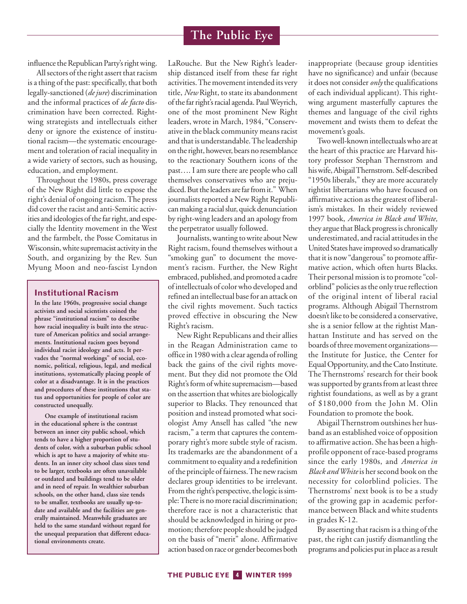influence the Republican Party's right wing.

All sectors of the right assert that racism is a thing of the past: specifically, that both legally-sanctioned (*de jure*) discrimination and the informal practices of *de facto* discrimination have been corrected. Rightwing strategists and intellectuals either deny or ignore the existence of institutional racism—the systematic encouragement and toleration of racial inequality in a wide variety of sectors, such as housing, education, and employment.

Throughout the 1980s, press coverage of the New Right did little to expose the right's denial of ongoing racism. The press did cover the racist and anti-Semitic activities and ideologies of the far right, and especially the Identity movement in the West and the farmbelt, the Posse Comitatus in Wisconsin, white supremacist activity in the South, and organizing by the Rev. Sun Myung Moon and neo-fascist Lyndon

#### **Institutional Racism**

**In the late 1960s, progressive social change activists and social scientists coined the phrase "institutional racism" to describe how racial inequality is built into the structure of American politics and social arrangements. Institutional racism goes beyond individual racist ideology and acts. It pervades the "normal workings" of social, economic, political, religious, legal, and medical institutions, systematically placing people of color at a disadvantage. It is in the practices and procedures of these institutions that status and opportunities for people of color are constructed unequally.** 

**One example of institutional racism in the educational sphere is the contrast between an inner city public school, which tends to have a higher proportion of students of color, with a suburban public school which is apt to have a majority of white students. In an inner city school class sizes tend to be larger, textbooks are often unavailable or outdated and buildings tend to be older and in need of repair. In wealthier suburban schools, on the other hand, class size tends to be smaller, textbooks are usually up-todate and available and the facilities are generally maintained. Meanwhile graduates are held to the same standard without regard for the unequal preparation that different educational environments create.**

LaRouche. But the New Right's leadership distanced itself from these far right activities. The movement intended its very title, *New* Right, to state its abandonment of the far right's racial agenda. Paul Weyrich, one of the most prominent New Right leaders, wrote in March, 1984, "Conservative in the black community means racist and that is understandable. The leadership on the right, however, bears no resemblance to the reactionary Southern icons of the past…. I am sure there are people who call themselves conservatives who are prejudiced. But the leaders are far from it." When journalists reported a New Right Republican making a racial slur, quick denunciation by right-wing leaders and an apology from the perpetrator usually followed.

Journalists, wanting to write about New Right racism, found themselves without a "smoking gun" to document the movement's racism. Further, the New Right embraced, published, and promoted a cadre of intellectuals of color who developed and refined an intellectual base for an attack on the civil rights movement. Such tactics proved effective in obscuring the New Right's racism.

New Right Republicans and their allies in the Reagan Administration came to office in 1980 with a clear agenda of rolling back the gains of the civil rights movement. But they did not promote the Old Right's form of white supremacism—based on the assertion that whites are biologically superior to Blacks. They renounced that position and instead promoted what sociologist Amy Ansell has called "the new racism," a term that captures the contemporary right's more subtle style of racism. Its trademarks are the abandonment of a commitment to equality and a redefinition of the principle of fairness. The new racism declares group identities to be irrelevant. From the right's perspective, the logic is simple: There is no more racial discrimination; therefore race is not a characteristic that should be acknowledged in hiring or promotion; therefore people should be judged on the basis of "merit" alone. Affirmative action based on race or gender becomes both inappropriate (because group identities have no significance) and unfair (because it does not consider *only*the qualifications of each individual applicant). This rightwing argument masterfully captures the themes and language of the civil rights movement and twists them to defeat the movement's goals.

Two well-known intellectuals who are at the heart of this practice are Harvard history professor Stephan Thernstrom and his wife, Abigail Thernstrom. Self-described "1950s liberals," they are more accurately rightist libertarians who have focused on affirmative action as the greatest of liberalism's mistakes. In their widely reviewed 1997 book, *America in Black and White,* they argue that Black progress is chronically underestimated, and racial attitudes in the United States have improved so dramatically that it is now "dangerous" to promote affirmative action, which often hurts Blacks. Their personal mission is to promote "colorblind" policies as the only true reflection of the original intent of liberal racial programs. Although Abigail Thernstrom doesn't like to be considered a conservative, she is a senior fellow at the rightist Manhattan Institute and has served on the boards of three movement organizations the Institute for Justice, the Center for Equal Opportunity, and the Cato Institute. The Thernstroms' research for their book was supported by grants from at least three rightist foundations, as well as by a grant of \$180,000 from the John M. Olin Foundation to promote the book.

Abigail Thernstrom outshines her husband as an established voice of opposition to affirmative action. She has been a highprofile opponent of race-based programs since the early 1980s, and *America in Black and White*is her second book on the necessity for colorblind policies. The Thernstroms' next book is to be a study of the growing gap in academic performance between Black and white students in grades K-12.

By asserting that racism is a thing of the past, the right can justify dismantling the programs and policies put in place as a result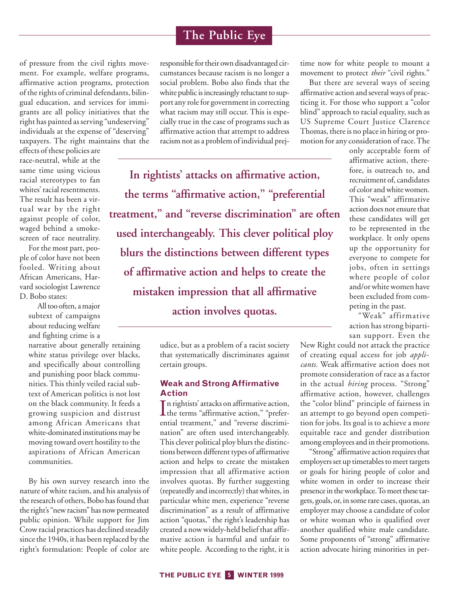of pressure from the civil rights movement. For example, welfare programs, affirmative action programs, protection of the rights of criminal defendants, bilingual education, and services for immigrants are all policy initiatives that the right has painted as serving "undeserving" individuals at the expense of "deserving" taxpayers. The right maintains that the

effects of these policies are race-neutral, while at the same time using vicious racial stereotypes to fan whites' racial resentments. The result has been a virtual war by the right against people of color, waged behind a smokescreen of race neutrality.

For the most part, people of color have not been fooled. Writing about African Americans, Harvard sociologist Lawrence D. Bobo states:

All too often, a major subtext of campaigns about reducing welfare and fighting crime is a narrative about generally retaining white status privilege over blacks, and specifically about controlling and punishing poor black communities. This thinly veiled racial subtext of American politics is not lost on the black community. It feeds a growing suspicion and distrust among African Americans that white-dominated institutions may be moving toward overt hostility to the aspirations of African American communities.

By his own survey research into the nature of white racism, and his analysis of the research of others, Bobo has found that the right's "new racism" has now permeated public opinion. While support for Jim Crow racial practices has declined steadily since the 1940s, it has been replaced by the right's formulation: People of color are

responsible for their own disadvantaged circumstances because racism is no longer a social problem. Bobo also finds that the white public is increasingly reluctant to support any role for government in correcting what racism may still occur. This is especially true in the case of programs such as affirmative action that attempt to address racism not as a problem of individual prej-

**In rightists' attacks on affirmative action, the terms "affirmative action," "preferential treatment," and "reverse discrimination" are often used interchangeably. This clever political ploy blurs the distinctions between different types of affirmative action and helps to create the mistaken impression that all affirmative action involves quotas.**

> udice, but as a problem of a racist society that systematically discriminates against certain groups.

# **Weak and Strong Affirmative Action**

In rightists' attacks on affirmative action,<br>the terms "affirmative action," "prefern rightists' attacks on affirmative action, ential treatment," and "reverse discrimination" are often used interchangeably. This clever political ploy blurs the distinctions between different types of affirmative action and helps to create the mistaken impression that all affirmative action involves quotas. By further suggesting (repeatedly and incorrectly) that whites, in particular white men, experience "reverse discrimination" as a result of affirmative action "quotas," the right's leadership has created a now widely-held belief that affirmative action is harmful and unfair to white people. According to the right, it is

time now for white people to mount a movement to protect *their* "civil rights."

But there are several ways of seeing affirmative action and several ways of practicing it. For those who support a "color blind" approach to racial equality, such as US Supreme Court Justice Clarence Thomas, there is no place in hiring or promotion for any consideration of race. The

> only acceptable form of affirmative action, therefore, is outreach to, and recruitment of, candidates of color and white women. This "weak" affirmative action does not ensure that these candidates will get to be represented in the workplace. It only opens up the opportunity for everyone to compete for jobs, often in settings where people of color and/or white women have been excluded from competing in the past.

"Weak" affirmative action has strong bipartisan support. Even the

New Right could not attack the practice of creating equal access for job *applicants.* Weak affirmative action does not promote consideration of race as a factor in the actual *hiring* process. "Strong" affirmative action, however, challenges the "color blind" principle of fairness in an attempt to go beyond open competition for jobs. Its goal is to achieve a more equitable race and gender distribution among employees and in their promotions.

"Strong" affirmative action requires that employers set up timetables to meet targets or goals for hiring people of color and white women in order to increase their presence in the workplace. To meet these targets, goals, or, in some rare cases, quotas, an employer may choose a candidate of color or white woman who is qualified over another qualified white male candidate. Some proponents of "strong" affirmative action advocate hiring minorities in per-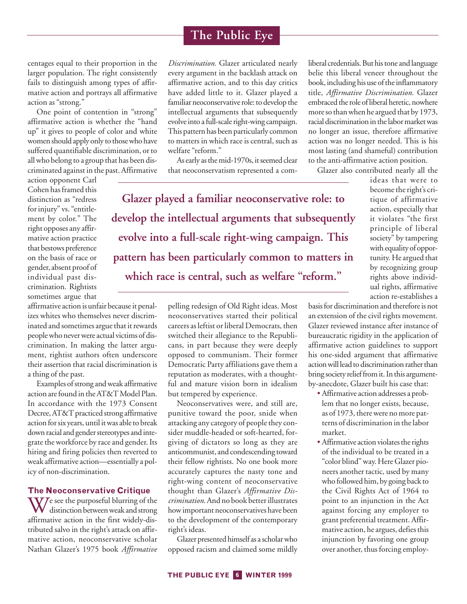centages equal to their proportion in the larger population. The right consistently fails to distinguish among types of affirmative action and portrays all affirmative action as "strong."

One point of contention in "strong" affirmative action is whether the "hand up" it gives to people of color and white women should apply only to those who have suffered quantifiable discrimination, or to all who belong to a group that has been discriminated against in the past. Affirmative

action opponent Carl Cohen has framed this distinction as "redress for injury" vs. "entitlement by color." The right opposes any affirmative action practice that bestows preference on the basis of race or gender, absent proof of individual past discrimination. Rightists sometimes argue that

affirmative action is unfair because it penalizes whites who themselves never discriminated and sometimes argue that it rewards people who never were actual victims of discrimination. In making the latter argument, rightist authors often underscore their assertion that racial discrimination is a thing of the past.

Examples of strong and weak affirmative action are found in the AT&T Model Plan. In accordance with the 1973 Consent Decree, AT&T practiced strong affirmative action for six years, until it was able to break down racial and gender stereotypes and integrate the workforce by race and gender. Its hiring and firing policies then reverted to weak affirmative action—essentially a policy of non-discrimination.

# **The Neoconservative Critique**

We see the purposeful blurring of the<br>distinction between weak and strong affirmative action in the first widely-distributed salvo in the right's attack on affirmative action, neoconservative scholar Nathan Glazer's 1975 book *Affirmative*

*Discrimination.* Glazer articulated nearly every argument in the backlash attack on affirmative action, and to this day critics have added little to it. Glazer played a familiar neoconservative role: to develop the intellectual arguments that subsequently evolve into a full-scale right-wing campaign. This pattern has been particularly common to matters in which race is central, such as welfare "reform."

As early as the mid-1970s, it seemed clear that neoconservatism represented a com-

**Glazer played a familiar neoconservative role: to develop the intellectual arguments that subsequently evolve into a full-scale right-wing campaign. This pattern has been particularly common to matters in which race is central, such as welfare "reform."**

> pelling redesign of Old Right ideas. Most neoconservatives started their political careers as leftist or liberal Democrats, then switched their allegiance to the Republicans, in part because they were deeply opposed to communism. Their former Democratic Party affiliations gave them a reputation as moderates, with a thoughtful and mature vision born in idealism but tempered by experience.

> Neoconservatives were, and still are, punitive toward the poor, snide when attacking any category of people they consider muddle-headed or soft-hearted, forgiving of dictators so long as they are anticommunist, and condescending toward their fellow rightists. No one book more accurately captures the nasty tone and right-wing content of neoconservative thought than Glazer's *Affirmative Discrimination.*And no book better illustrates how important neoconservatives have been to the development of the contemporary right's ideas.

> Glazer presented himself as a scholar who opposed racism and claimed some mildly

liberal credentials. But his tone and language belie this liberal veneer throughout the book, including his use of the inflammatory title, *Affirmative Discrimination.* Glazer embraced the role of liberal heretic, nowhere more so than when he argued that by 1973, racial discrimination in the labor market was no longer an issue, therefore affirmative action was no longer needed. This is his most lasting (and shameful) contribution to the anti-affirmative action position.

Glazer also contributed nearly all the

ideas that were to become the right's critique of affirmative action, especially that it violates "the first principle of liberal society" by tampering with equality of opportunity. He argued that by recognizing group rights above individual rights, affirmative action re-establishes a

basis for discrimination and therefore is not an extension of the civil rights movement. Glazer reviewed instance after instance of bureaucratic rigidity in the application of affirmative action guidelines to support his one-sided argument that affirmative action will lead to discrimination rather than bring society relief from it. In this argumentby-anecdote, Glazer built his case that:

- Affirmative action addresses a problem that no longer exists, because, as of 1973, there were no more patterns of discrimination in the labor market.
- Affirmative action violates the rights of the individual to be treated in a "color blind" way. Here Glazer pioneers another tactic, used by many who followed him, by going back to the Civil Rights Act of 1964 to point to an injunction in the Act against forcing any employer to grant preferential treatment. Affirmative action, he argues, defies this injunction by favoring one group over another, thus forcing employ-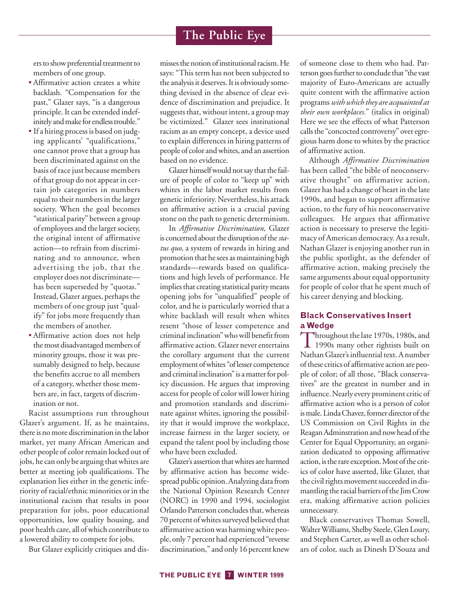ers to show preferential treatment to members of one group.

- Affirmative action creates a white backlash. "Compensation for the past," Glazer says, "is a dangerous principle. It can be extended indefinitely and make for endless trouble."
- If a hiring process is based on judging applicants' "qualifications," one cannot prove that a group has been discriminated against on the basis of race just because members of that group do not appear in certain job categories in numbers equal to their numbers in the larger society. When the goal becomes "statistical parity" between a group of employees and the larger society, the original intent of affirmative action—to refrain from discriminating and to announce, when advertising the job, that the employer does not discriminate has been superseded by "quotas." Instead, Glazer argues, perhaps the members of one group just "qualify" for jobs more frequently than the members of another.
- Affirmative action does not help the most disadvantaged members of minority groups, those it was presumably designed to help, because the benefits accrue to all members of a category, whether those members are, in fact, targets of discrimination or not.

Racist assumptions run throughout Glazer's argument. If, as he maintains, there is no more discrimination in the labor market, yet many African American and other people of color remain locked out of jobs, he can only be arguing that whites are better at meeting job qualifications. The explanation lies either in the genetic inferiority of racial/ethnic minorities or in the institutional racism that results in poor preparation for jobs, poor educational opportunities, low quality housing, and poor health care, all of which contribute to a lowered ability to compete for jobs.

But Glazer explicitly critiques and dis-

misses the notion of institutional racism. He says: "This term has not been subjected to the analysis it deserves. It is obviously something devised in the absence of clear evidence of discrimination and prejudice. It suggests that, without intent, a group may be victimized." Glazer sees institutional racism as an empty concept, a device used to explain differences in hiring patterns of people of color and whites, and an assertion based on no evidence.

Glazer himself would not say that the failure of people of color to "keep up" with whites in the labor market results from genetic inferiority. Nevertheless, his attack on affirmative action is a crucial paving stone on the path to genetic determinism.

In *Affirmative Discrimination,* Glazer is concerned about the disruption of the *status quo,* a system of rewards in hiring and promotion that he sees as maintaining high standards—rewards based on qualifications and high levels of performance. He implies that creating statistical parity means opening jobs for "unqualified" people of color, and he is particularly worried that a white backlash will result when whites resent "those of lesser competence and criminal inclination" who will benefit from affirmative action. Glazer never entertains the corollary argument that the current employment of whites "of lesser competence and criminal inclination" is a matter for policy discussion. He argues that improving access for people of color will lower hiring and promotion standards and discriminate against whites, ignoring the possibility that it would improve the workplace, increase fairness in the larger society, or expand the talent pool by including those who have been excluded.

Glazer's assertion that whites are harmed by affirmative action has become widespread public opinion. Analyzing data from the National Opinion Research Center (NORC) in 1990 and 1994, sociologist Orlando Patterson concludes that, whereas 70 percent of whites surveyed believed that affirmative action was harming white people, only 7 percent had experienced "reverse discrimination," and only 16 percent knew

of someone close to them who had. Patterson goes further to conclude that "the vast majority of Euro-Americans are actually quite content with the affirmative action programs *with which they are acquainted at their own workplaces.*" (italics in original) Here we see the effects of what Patterson calls the "concocted controversy" over egregious harm done to whites by the practice of affirmative action.

Although *Affirmative Discrimination* has been called "the bible of neoconservative thought" on affirmative action, Glazer has had a change of heart in the late 1990s, and began to support affirmative action, to the fury of his neoconservative colleagues. He argues that affirmative action is necessary to preserve the legitimacy of American democracy. As a result, Nathan Glazer is enjoying another run in the public spotlight, as the defender of affirmative action, making precisely the same arguments about equal opportunity for people of color that he spent much of his career denying and blocking.

# **Black Conservatives Insert a Wedge**

Throughout the late 1970s, 1980s, and 1990s many other rightists built on Nathan Glazer's influential text. A number of these critics of affirmative action are people of color; of all those, "Black conservatives" are the greatest in number and in influence. Nearly every prominent critic of affirmative action who is a person of color is male. Linda Chavez, former director of the US Commission on Civil Rights in the Reagan Adminstration and now head of the Center for Equal Opportunity, an organization dedicated to opposing affirmative action, is the rare exception. Most of the critics of color have asserted, like Glazer, that the civil rights movement succeeded in dismantling the racial barriers of the Jim Crow era, making affirmative action policies unnecessary.

Black conservatives Thomas Sowell, Walter Williams, Shelby Steele, Glen Loury, and Stephen Carter, as well as other scholars of color, such as Dinesh D'Souza and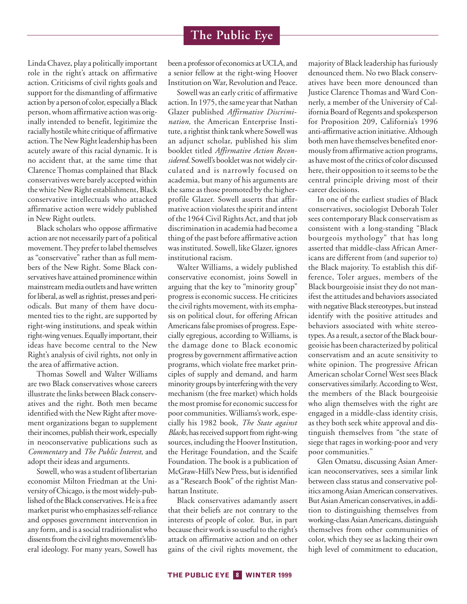Linda Chavez, play a politically important role in the right's attack on affirmative action. Criticisms of civil rights goals and support for the dismantling of affirmative action by a person of color, especially a Black person, whom affirmative action was originally intended to benefit, legitimize the racially hostile white critique of affirmative action. The New Right leadership has been acutely aware of this racial dynamic. It is no accident that, at the same time that Clarence Thomas complained that Black conservatives were barely accepted within the white New Right establishment, Black conservative intellectuals who attacked affirmative action were widely published in New Right outlets.

Black scholars who oppose affirmative action are not necessarily part of a political movement. They prefer to label themselves as "conservative" rather than as full members of the New Right. Some Black conservatives have attained prominence within mainstream media outlets and have written for liberal, as well as rightist, presses and periodicals. But many of them have documented ties to the right, are supported by right-wing institutions, and speak within right-wing venues. Equally important, their ideas have become central to the New Right's analysis of civil rights, not only in the area of affirmative action.

Thomas Sowell and Walter Williams are two Black conservatives whose careers illustrate the links between Black conservatives and the right. Both men became identified with the New Right after movement organizations began to supplement their incomes, publish their work, especially in neoconservative publications such as *Commentary* and *The Public Interest,* and adopt their ideas and arguments.

Sowell, who was a student of libertarian economist Milton Friedman at the University of Chicago, is the most widely-published of the Black conservatives. He is a free market purist who emphasizes self-reliance and opposes government intervention in any form, and is a social traditionalist who dissents from the civil rights movement's liberal ideology. For many years, Sowell has been a professor of economics at UCLA, and a senior fellow at the right-wing Hoover Institution on War, Revolution and Peace.

Sowell was an early critic of affirmative action. In 1975, the same year that Nathan Glazer published *Affirmative Discrimination,* the American Enterprise Institute, a rightist think tank where Sowell was an adjunct scholar, published his slim booklet titled *Affirmative Action Reconsidered.* Sowell's booklet was not widely circulated and is narrowly focused on academia, but many of his arguments are the same as those promoted by the higherprofile Glazer. Sowell asserts that affirmative action violates the spirit and intent of the 1964 Civil Rights Act, and that job discrimination in academia had become a thing of the past before affirmative action was instituted. Sowell, like Glazer, ignores institutional racism.

Walter Williams, a widely published conservative economist, joins Sowell in arguing that the key to "minority group" progress is economic success. He criticizes the civil rights movement, with its emphasis on political clout, for offering African Americans false promises of progress. Especially egregious, according to Williams, is the damage done to Black economic progress by government affirmative action programs, which violate free market principles of supply and demand, and harm minority groups by interfering with the very mechanism (the free market) which holds the most promise for economic success for poor communities. Williams's work, especially his 1982 book, *The State against Blacks,*has received support from right-wing sources, including the Hoover Institution, the Heritage Foundation, and the Scaife Foundation. The book is a publication of McGraw-Hill's New Press, but is identified as a "Research Book" of the rightist Manhattan Institute.

Black conservatives adamantly assert that their beliefs are not contrary to the interests of people of color. But, in part because their work is so useful to the right's attack on affirmative action and on other gains of the civil rights movement, the majority of Black leadership has furiously denounced them. No two Black conservatives have been more denounced than Justice Clarence Thomas and Ward Connerly, a member of the University of California Board of Regents and spokesperson for Proposition 209, California's 1996 anti-affirmative action initiative. Although both men have themselves benefited enormously from affirmative action programs, as have most of the critics of color discussed here, their opposition to it seems to be the central principle driving most of their career decisions.

In one of the earliest studies of Black conservatives, sociologist Deborah Toler sees contemporary Black conservatism as consistent with a long-standing "Black bourgeois mythology" that has long asserted that middle-class African Americans are different from (and superior to) the Black majority. To establish this difference, Toler argues, members of the Black bourgeoisie insist they do not manifest the attitudes and behaviors associated with negative Black stereotypes, but instead identify with the positive attitudes and behaviors associated with white stereotypes. As a result, a sector of the Black bourgeoisie has been characterized by political conservatism and an acute sensitivity to white opinion. The progressive African American scholar Cornel West sees Black conservatives similarly. According to West, the members of the Black bourgeoisie who align themselves with the right are engaged in a middle-class identity crisis, as they both seek white approval and distinguish themselves from "the state of siege that rages in working-poor and very poor communities."

Glen Omatsu, discussing Asian American neoconservatives, sees a similar link between class status and conservative politics among Asian American conservatives. But Asian American conservatives, in addition to distinguishing themselves from working-class Asian Americans, distinguish themselves from other communities of color, which they see as lacking their own high level of commitment to education,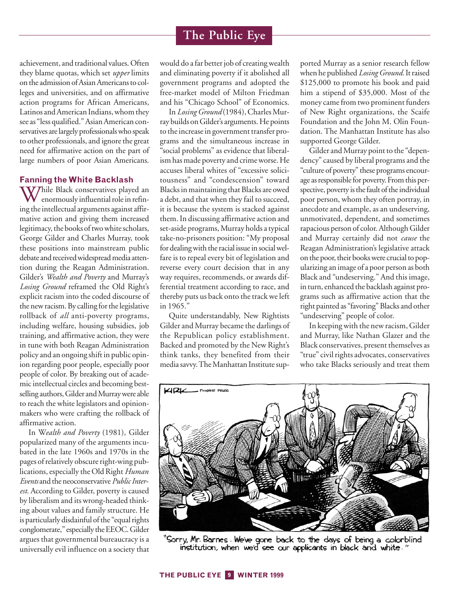achievement, and traditional values. Often they blame quotas, which set *upper* limits on the admission of Asian Americans to colleges and universities, and on affirmative action programs for African Americans, Latinos and American Indians, whom they see as "less qualified." Asian American conservatives are largely professionals who speak to other professionals, and ignore the great need for affirmative action on the part of large numbers of poor Asian Americans.

# **Fanning the White Backlash**

While Black conservatives played an enormously influential role in refining the intellectual arguments against affirmative action and giving them increased legitimacy, the books of two white scholars, George Gilder and Charles Murray, took these positions into mainstream public debate and received widespread media attention during the Reagan Administration. Gilder's *Wealth and Poverty* and Murray's *Losing Ground* reframed the Old Right's explicit racism into the coded discourse of the new racism. By calling for the legislative rollback of *all* anti-poverty programs, including welfare, housing subsidies, job training, and affirmative action, they were in tune with both Reagan Administration policy and an ongoing shift in public opinion regarding poor people, especially poor people of color. By breaking out of academic intellectual circles and becoming bestselling authors, Gilder and Murray were able to reach the white legislators and opinionmakers who were crafting the rollback of affirmative action.

In W*ealth and Poverty* (1981), Gilder popularized many of the arguments incubated in the late 1960s and 1970s in the pages of relatively obscure right-wing publications, especially the Old Right *Human Events* and the neoconservative *Public Interest.* According to Gilder, poverty is caused by liberalism and its wrong-headed thinking about values and family structure. He is particularly disdainful of the "equal rights conglomerate," especially the EEOC. Gilder argues that governmental bureaucracy is a universally evil influence on a society that

would do a far better job of creating wealth and eliminating poverty if it abolished all government programs and adopted the free-market model of Milton Friedman and his "Chicago School" of Economics.

In *Losing Ground* (1984), Charles Murray builds on Gilder's arguments. He points to the increase in government transfer programs and the simultaneous increase in "social problems" as evidence that liberalism has made poverty and crime worse. He accuses liberal whites of "excessive solicitousness" and "condescension" toward Blacks in maintaining that Blacks are owed a debt, and that when they fail to succeed, it is because the system is stacked against them. In discussing affirmative action and set-aside programs, Murray holds a typical take-no-prisoners position: "My proposal for dealing with the racial issue in social welfare is to repeal every bit of legislation and reverse every court decision that in any way requires, recommends, or awards differential treatment according to race, and thereby puts us back onto the track we left in 1965."

Quite understandably, New Rightists Gilder and Murray became the darlings of the Republican policy establishment. Backed and promoted by the New Right's think tanks, they benefited from their media savvy. The Manhattan Institute supported Murray as a senior research fellow when he published *Losing Ground.*It raised \$125,000 to promote his book and paid him a stipend of \$35,000. Most of the money came from two prominent funders of New Right organizations, the Scaife Foundation and the John M. Olin Foundation. The Manhattan Institute has also supported George Gilder.

Gilder and Murray point to the "dependency" caused by liberal programs and the "culture of poverty" these programs encourage as responsible for poverty. From this perspective, poverty is the fault of the individual poor person, whom they often portray, in anecdote and example, as an undeserving, unmotivated, dependent, and sometimes rapacious person of color. Although Gilder and Murray certainly did not *cause* the Reagan Administration's legislative attack on the poor, their books were crucial to popularizing an image of a poor person as both Black and "undeserving." And this image, in turn, enhanced the backlash against programs such as affirmative action that the right painted as "favoring" Blacks and other "undeserving" people of color.

In keeping with the new racism, Gilder and Murray, like Nathan Glazer and the Black conservatives, present themselves as "true" civil rights advocates, conservatives who take Blacks seriously and treat them



"Sorry, Mr. Barnes . We've gone back to the days of being a colorblind institution, when we'd see our applicants in black and white . "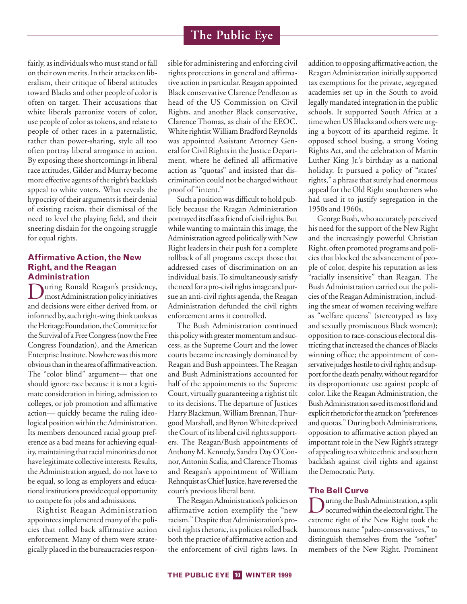fairly, as individuals who must stand or fall on their own merits. In their attacks on liberalism, their critique of liberal attitudes toward Blacks and other people of color is often on target. Their accusations that white liberals patronize voters of color, use people of color as tokens, and relate to people of other races in a paternalistic, rather than power-sharing, style all too often portray liberal arrogance in action. By exposing these shortcomings in liberal race attitudes, Gilder and Murray become more effective agents of the right's backlash appeal to white voters. What reveals the hypocrisy of their arguments is their denial of existing racism, their dismissal of the need to level the playing field, and their sneering disdain for the ongoing struggle for equal rights.

## **Affirmative Action, the New Right, and the Reagan Administration**

uring Ronald Reagan's presidency, most Administration policy initiatives and decisions were either derived from, or informed by, such right-wing think tanks as the Heritage Foundation, the Committee for the Survival of a Free Congress (now the Free Congress Foundation), and the American Enterprise Institute. Nowhere was this more obvious than in the area of affirmative action. The "color blind" argument— that one should ignore race because it is not a legitimate consideration in hiring, admission to colleges, or job promotion and affirmative action— quickly became the ruling ideological position within the Administration. Its members denounced racial group preference as a bad means for achieving equality, maintaining that racial minorities do not have legitimate collective interests. Results, the Administration argued, do not have to be equal, so long as employers and educational institutions provide equal opportunity to compete for jobs and admissions.

Rightist Reagan Administration appointees implemented many of the policies that rolled back affirmative action enforcement. Many of them were strategically placed in the bureaucracies responsible for administering and enforcing civil rights protections in general and affirmative action in particular. Reagan appointed Black conservative Clarence Pendleton as head of the US Commission on Civil Rights, and another Black conservative, Clarence Thomas, as chair of the EEOC. White rightist William Bradford Reynolds was appointed Assistant Attorney General for Civil Rights in the Justice Department, where he defined all affirmative action as "quotas" and insisted that discrimination could not be charged without proof of "intent."

Such a position was difficult to hold publicly because the Reagan Administration portrayed itself as a friend of civil rights. But while wanting to maintain this image, the Administration agreed politically with New Right leaders in their push for a complete rollback of all programs except those that addressed cases of discrimination on an individual basis. To simultaneously satisfy the need for a pro-civil rights image and pursue an anti-civil rights agenda, the Reagan Administration defunded the civil rights enforcement arms it controlled.

The Bush Administration continued this policy with greater momentum and success, as the Supreme Court and the lower courts became increasingly dominated by Reagan and Bush appointees. The Reagan and Bush Administrations accounted for half of the appointments to the Supreme Court, virtually guaranteeing a rightist tilt to its decisions. The departure of Justices Harry Blackmun, William Brennan, Thurgood Marshall, and Byron White deprived the Court of its liberal civil rights supporters. The Reagan/Bush appointments of Anthony M. Kennedy, Sandra Day O'Connor, Antonin Scalia, and Clarence Thomas and Reagan's appointment of William Rehnquist as Chief Justice, have reversed the court's previous liberal bent.

The Reagan Administration's policies on affirmative action exemplify the "new racism." Despite that Administration's procivil rights rhetoric, its policies rolled back both the practice of affirmative action and the enforcement of civil rights laws. In

addition to opposing affirmative action, the Reagan Administration initially supported tax exemptions for the private, segregated academies set up in the South to avoid legally mandated integration in the public schools. It supported South Africa at a time when US Blacks and others were urging a boycott of its apartheid regime. It opposed school busing, a strong Voting Rights Act, and the celebration of Martin Luther King Jr.'s birthday as a national holiday. It pursued a policy of "states' rights," a phrase that surely had enormous appeal for the Old Right southerners who had used it to justify segregation in the 1950s and 1960s.

George Bush, who accurately perceived his need for the support of the New Right and the increasingly powerful Christian Right, often promoted programs and policies that blocked the advancement of people of color, despite his reputation as less "racially insensitive" than Reagan. The Bush Administration carried out the policies of the Reagan Administration, including the smear of women receiving welfare as "welfare queens" (stereotyped as lazy and sexually promiscuous Black women); opposition to race-conscious electoral districting that increased the chances of Blacks winning office; the appointment of conservative judges hostile to civil rights; and support for the death penalty, without regard for its disproportionate use against people of color. Like the Reagan Administration, the Bush Administration saved its most florid and explicit rhetoric for the attack on "preferences and quotas." During both Administrations, opposition to affirmative action played an important role in the New Right's strategy of appealing to a white ethnic and southern backlash against civil rights and against the Democratic Party.

# **The Bell Curve**

During the Bush Administration, a split occurred within the electoral right. The extreme right of the New Right took the humorous name "paleo-conservatives," to distinguish themselves from the "softer" members of the New Right. Prominent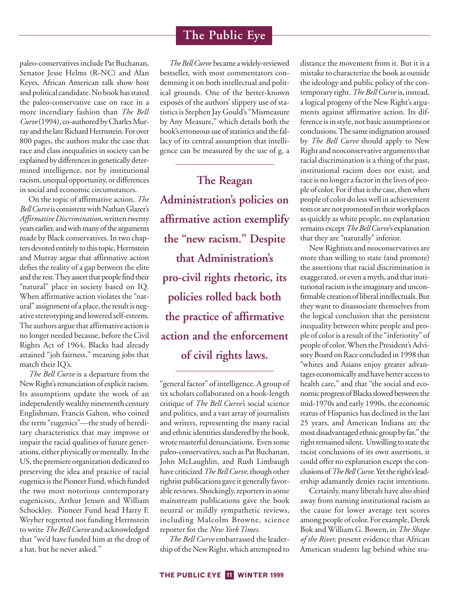paleo-conservatives include Pat Buchanan, Senator Jesse Helms (R-NC) and Alan Keyes, African American talk show host and political candidate. No book has stated the paleo-conservative case on race in a more incendiary fashion than *The Bell Curve*(1994), co-authored by Charles Murray and the late Richard Herrnstein. For over 800 pages, the authors make the case that race and class inequalities in society can be explained by differences in genetically determined intelligence, not by institutional racism, unequal opportunity, or differences in social and economic circumstances.

On the topic of affirmative action, *The Bell Curve*is consistent with Nathan Glazer's *Affirmative Discrimination,*written twenty years earlier, and with many of the arguments made by Black conservatives. In two chapters devoted entirely to this topic, Herrnstein and Murray argue that affirmative action defies the reality of a gap between the elite and the rest. They assert that people find their "natural" place in society based on IQ. When affirmative action violates the "natural" assignment of a place, the result is negative stereotyping and lowered self-esteem. The authors argue that affirmative action is no longer needed because, before the Civil Rights Act of 1964, Blacks had already attained "job fairness," meaning jobs that match their IQ's.

*The Bell Curve* is a departure from the New Right's renunciation of explicit racism. Its assumptions update the work of an independently wealthy nineteenth century Englishman, Francis Galton, who coined the term "eugenics"—the study of hereditary characteristics that may improve or impair the racial qualities of future generations, either physically or mentally. In the US, the premiere organization dedicated to preserving the idea and practice of racial eugenics is the Pioneer Fund, which funded the two most notorious contemporary eugenicists, Arthur Jensen and William Schockley. Pioneer Fund head Harry F. Weyher regretted not funding Herrnstein to write *The Bell Curve* and acknowledged that "we'd have funded him at the drop of a hat, but he never asked."

*The Bell Curve* became a widely-reviewed bestseller, with most commentators condemning it on both intellectual and political grounds. One of the better-known exposés of the authors' slippery use of statistics is Stephen Jay Gould's "Mismeasure by Any Measure," which details both the book's erroneous use of statistics and the fallacy of its central assumption that intelligence can be measured by the use of g, a

**The Reagan Administration's policies on affirmative action exemplify the "new racism." Despite that Administration's pro-civil rights rhetoric, its policies rolled back both the practice of affirmative action and the enforcement of civil rights laws.**

"general factor" of intelligence. A group of six scholars collaborated on a book-length critique of *The Bell Curve'*s social science and politics, and a vast array of journalists and writers, representing the many racial and ethnic identities slandered by the book, wrote masterful denunciations. Even some paleo-conservatives, such as Pat Buchanan, John McLaughlin, and Rush Limbaugh have criticized *The Bell Curve,*though other rightist publications gave it generally favorable reviews. Shockingly, reporters in some mainstream publications gave the book neutral or mildly sympathetic reviews, including Malcolm Browne, science reporter for the *New York Times.*

*The Bell Curve* embarrassed the leadership of the New Right, which attempted to distance the movement from it. But it is a mistake to characterize the book as outside the ideology and public policy of the contemporary right. *The Bell Curve* is, instead, a logical progeny of the New Right's arguments against affirmative action. Its difference is in style, not basic assumptions or conclusions. The same indignation aroused by *The Bell Curve* should apply to New Right and neoconservative arguments that racial discrimination is a thing of the past, institutional racism does not exist, and race is no longer a factor in the lives of people of color. For if that is the case, then when people of color do less well in achievement tests or are not promoted in their workplaces as quickly as white people, no explanation remains except *The Bell Curve*'s explanation that they are "naturally" inferior.

New Rightists and neoconservatives are more than willing to state (and promote) the assertions that racial discrimination is exaggerated, or even a myth, and that institutional racism is the imaginary and unconfirmable creation of liberal intellectuals. But they want to disassociate themselves from the logical conclusion that the persistent inequality between white people and people of color is a result of the "inferiority" of people of color. When the President's Advisory Board on Race concluded in 1998 that "whites and Asians enjoy greater advantages economically and have better access to health care," and that "the social and economic progress of Blacks slowed between the mid-1970s and early 1990s, the economic status of Hispanics has declined in the last 25 years, and American Indians are the most disadvantaged ethnic group by far," the right remained silent. Unwilling to state the racist conclusions of its own assertions, it could offer no explanation except the conclusions of *The Bell Curve.*Yet the right's leadership adamantly denies racist intentions.

Certainly, many liberals have also shied away from naming institutional racism as the cause for lower average test scores among people of color. For example, Derek Bok and William G. Bowen, in *The Shape of the River,* present evidence that African American students lag behind white stu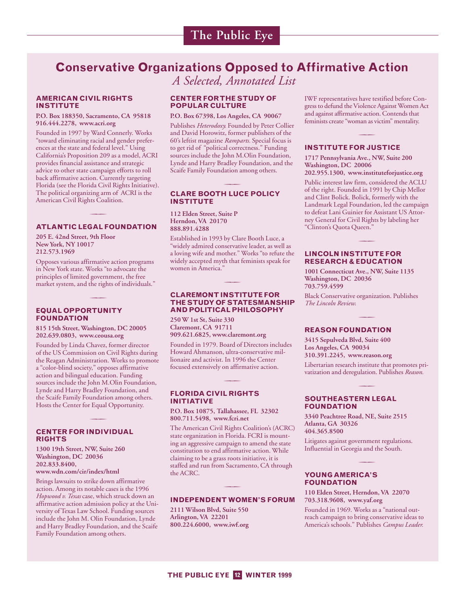**Conservative Organizations Opposed to Affirmative Action**

#### **AMERICAN CIVIL RIGHTS INSTITUTE**

**P.O. Box 188350, Sacramento, CA 95818 916.444.2278, www.acri.org**

Founded in 1997 by Ward Connerly. Works "toward eliminating racial and gender preferences at the state and federal level." Using California's Proposition 209 as a model, ACRI provides financial assistance and strategic advice to other state campaign efforts to roll back affirmative action. Currently targeting Florida (see the Florida Civil Rights Initiative). The political organizing arm of ACRI is the American Civil Rights Coalition. -

# **ATLANTIC LEGAL FOUNDATION**

**205 E. 42nd Street, 9th Floor New York, NY 10017 212.573.1969**

Opposes various affirmative action programs in New York state. Works "to advocate the principles of limited government, the free market system, and the rights of individuals." -

#### **EQUAL OPPORTUNITY FOUNDATION**

**815 15th Street, Washington, DC 20005 202.639.0803, www.ceousa.org**

Founded by Linda Chavez, former director of the US Commission on Civil Rights during the Reagan Administration. Works to promote a "color-blind society," opposes affirmative action and bilingual education. Funding sources include the John M.Olin Foundation, Lynde and Harry Bradley Foundation, and the Scaife Family Foundation among others. Hosts the Center for Equal Opportunity. -

**CENTER FOR INDIVIDUAL RIGHTS**

**1300 19th Street, NW, Suite 260 Washington, DC 20036 202.833.8400, www.wdn.com/cir/index/html**

Brings lawsuits to strike down affirmative action. Among its notable cases is the 1996 *Hopwood v. Texas* case, which struck down an affirmative action admission policy at the University of Texas Law School. Funding sources include the John M. Olin Foundation, Lynde and Harry Bradley Foundation, and the Scaife Family Foundation among others.

*A Selected, Annotated List*

#### **CENTER FOR THE STUDY OF POPULAR CULTURE**

**P.O. Box 67398, Los Angeles, CA 90067**

Publishes *Heterodoxy.* Founded by Peter Collier and David Horowitz, former publishers of the 60's leftist magazine *Ramparts.* Special focus is to get rid of "political correctness." Funding sources include the John M.Olin Foundation, Lynde and Harry Bradley Foundation, and the Scaife Family Foundation among others. -

#### **CLARE BOOTH LUCE POLICY INSTITUTE**

**112 Elden Street, Suite P Herndon, VA 20170 888.891.4288**

Established in 1993 by Clare Booth Luce, a "widely admired conservative leader, as well as a loving wife and mother." Works "to refute the widely accepted myth that feminists speak for women in America." -

#### **CLAREMONT INSTITUTE FOR THE STUDY OF STATESMANSHIP AND POLITICAL PHILOSOPHY**

**250 W 1st St, Suite 330 Claremont, CA 91711 909.621.6825, www.claremont.org** 

Founded in 1979. Board of Directors includes Howard Ahmanson, ultra-conservative millionaire and activist. In 1996 the Center focused extensively on affirmative action. -

#### **FLORIDA CIVIL RIGHTS INITIATIVE**

**P.O. Box 10875, Tallahassee, FL 32302 800.711.5498, www.fcri.net**

The American Civil Rights Coalition's (ACRC) state organization in Florida. FCRI is mounting an aggressive campaign to amend the state constitution to end affirmative action. While claiming to be a grass roots initiative, it is staffed and run from Sacramento, CA through the ACRC. -

#### **INDEPENDENT WOMEN'S FORUM**

**2111 Wilson Blvd, Suite 550 Arlington, VA 22201 800.224.6000, www.iwf.org** IWF representatives have testified before Congress to defund the Violence Against Women Act and against affirmative action. Contends that feminists create "woman as victim" mentality. -

### **INSTITUTE FOR JUSTICE**

**1717 Pennsylvania Ave., NW, Suite 200 Washington, DC 20006 202.955.1300, www.instituteforjustice.org**

Public interest law firm, considered the ACLU of the right. Founded in 1991 by Chip Mellor and Clint Bolick. Bolick, formerly with the Landmark Legal Foundation, led the campaign to defeat Lani Guinier for Assistant US Attorney General for Civil Rights by labeling her "Clinton's Quota Queen." -

#### **LINCOLN INSTITUTE FOR RESEARCH & EDUCATION**

**1001 Connecticut Ave., NW, Suite 1135 Washington, DC 20036 703.759.4599**

Black Conservative organization. Publishes *The Lincoln Review.* -

#### **REASON FOUNDATION**

**3415 Sepulveda Blvd, Suite 400 Los Angeles, CA 90034 310.391.2245, www.reason.org**

Libertarian research institute that promotes privatization and deregulation. Publishes *Reason.* -

#### **SOUTHEASTERN LEGAL FOUNDATION**

**3340 Peachtree Road, NE, Suite 2515 Atlanta, GA 30326 404.365.8500**

Litigates against government regulations. Influential in Georgia and the South. -

#### **YOUNG AMERICA'S FOUNDATION**

**110 Elden Street, Herndon, VA 22070 703.318.9608, www.yaf.org**

Founded in 1969. Works as a "national outreach campaign to bring conservative ideas to America's schools." Publishes *Campus Leader.*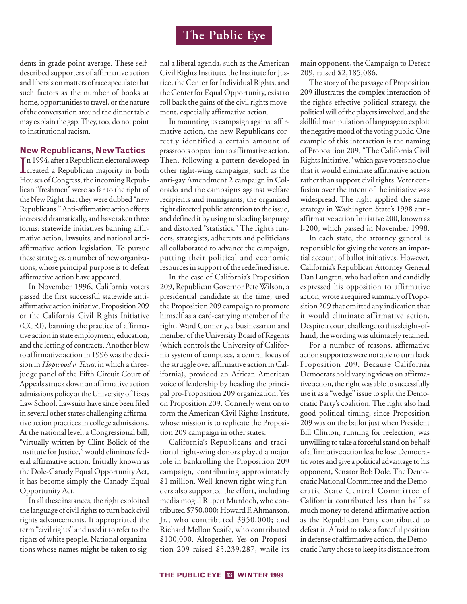dents in grade point average. These selfdescribed supporters of affirmative action and liberals on matters of race speculate that such factors as the number of books at home, opportunities to travel, or the nature of the conversation around the dinner table may explain the gap. They, too, do not point to institutional racism.

## **New Republicans, New Tactics**

In 1994, after a Republican electoral sweep<br>created a Republican majority in both n 1994, after a Republican electoral sweep Houses of Congress, the incoming Republican "freshmen" were so far to the right of the New Right that they were dubbed "new Republicans." Anti-affirmative action efforts increased dramatically, and have taken three forms: statewide initiatives banning affirmative action, lawsuits, and national antiaffirmative action legislation. To pursue these strategies, a number of new organizations, whose principal purpose is to defeat affirmative action have appeared.

In November 1996, California voters passed the first successful statewide antiaffirmative action initiative, Proposition 209 or the California Civil Rights Initiative (CCRI), banning the practice of affirmative action in state employment, education, and the letting of contracts. Another blow to affirmative action in 1996 was the decision in *Hopwood v. Texas,* in which a threejudge panel of the Fifth Circuit Court of Appeals struck down an affirmative action admissions policy at the University of Texas Law School. Lawsuits have since been filed in several other states challenging affirmative action practices in college admissions. At the national level, a Congressional bill, "virtually written by Clint Bolick of the Institute for Justice," would eliminate federal affirmative action. Initially known as the Dole-Canady Equal Opportunity Act, it has become simply the Canady Equal Opportunity Act.

In all these instances, the right exploited the language of civil rights to turn back civil rights advancements. It appropriated the term "civil rights" and used it to refer to the rights of white people. National organizations whose names might be taken to signal a liberal agenda, such as the American Civil Rights Institute, the Institute for Justice, the Center for Individual Rights, and the Center for Equal Opportunity, exist to roll back the gains of the civil rights movement, especially affirmative action.

In mounting its campaign against affirmative action, the new Republicans correctly identified a certain amount of grassroots opposition to affirmative action. Then, following a pattern developed in other right-wing campaigns, such as the anti-gay Amendment 2 campaign in Colorado and the campaigns against welfare recipients and immigrants, the organized right directed public attention to the issue, and defined it by using misleading language and distorted "statistics." The right's funders, strategists, adherents and politicians all collaborated to advance the campaign, putting their political and economic resources in support of the redefined issue.

In the case of California's Proposition 209, Republican Governor Pete Wilson, a presidential candidate at the time, used the Proposition 209 campaign to promote himself as a card-carrying member of the right. Ward Connerly, a businessman and member of the University Board of Regents (which controls the University of California system of campuses, a central locus of the struggle over affirmative action in California), provided an African American voice of leadership by heading the principal pro-Proposition 209 organization, Yes on Proposition 209. Connerly went on to form the American Civil Rights Institute, whose mission is to replicate the Proposition 209 campaign in other states.

California's Republicans and traditional right-wing donors played a major role in bankrolling the Proposition 209 campaign, contributing approximately \$1 million. Well-known right-wing funders also supported the effort, including media mogul Rupert Murdoch, who contributed \$750,000; Howard F. Ahmanson, Jr., who contributed \$350,000; and Richard Mellon Scaife, who contributed \$100,000. Altogether, Yes on Proposition 209 raised \$5,239,287, while its

main opponent, the Campaign to Defeat 209, raised \$2,185,086.

The story of the passage of Proposition 209 illustrates the complex interaction of the right's effective political strategy, the political will of the players involved, and the skillful manipulation of language to exploit the negative mood of the voting public. One example of this interaction is the naming of Proposition 209, "The California Civil Rights Initiative," which gave voters no clue that it would eliminate affirmative action rather than support civil rights. Voter confusion over the intent of the initiative was widespread. The right applied the same strategy in Washington State's 1998 antiaffirmative action Initiative 200, known as I-200, which passed in November 1998.

In each state, the attorney general is responsible for giving the voters an impartial account of ballot initiatives. However, California's Republican Attorney General Dan Lungren, who had often and candidly expressed his opposition to affirmative action, wrote a required summary of Proposition 209 that omitted any indication that it would eliminate affirmative action. Despite a court challenge to this sleight-ofhand, the wording was ultimately retained.

For a number of reasons, affirmative action supporters were not able to turn back Proposition 209. Because California Democrats hold varying views on affirmative action, the right was able to successfully use it as a "wedge" issue to split the Democratic Party's coalition. The right also had good political timing, since Proposition 209 was on the ballot just when President Bill Clinton, running for reelection, was unwilling to take a forceful stand on behalf of affirmative action lest he lose Democratic votes and give a political advantage to his opponent, Senator Bob Dole. The Democratic National Committee and the Democratic State Central Committee of California contributed less than half as much money to defend affirmative action as the Republican Party contributed to defeat it. Afraid to take a forceful position in defense of affirmative action, the Democratic Party chose to keep its distance from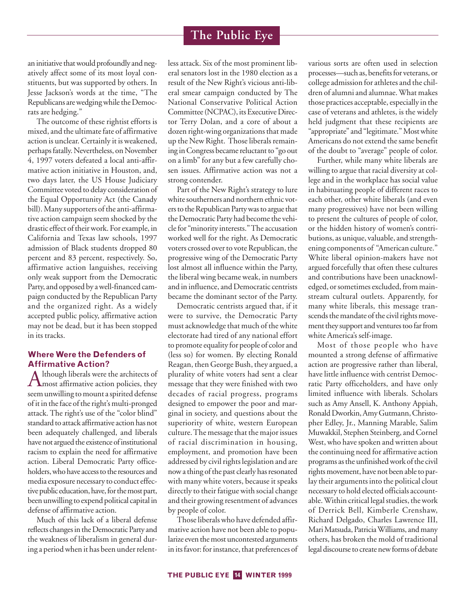an initiative that would profoundly and negatively affect some of its most loyal constituents, but was supported by others. In Jesse Jackson's words at the time, "The Republicans are wedging while the Democrats are hedging."

The outcome of these rightist efforts is mixed, and the ultimate fate of affirmative action is unclear. Certainly it is weakened, perhaps fatally. Nevertheless, on November 4, 1997 voters defeated a local anti-affirmative action initiative in Houston, and, two days later, the US House Judiciary Committee voted to delay consideration of the Equal Opportunity Act (the Canady bill). Many supporters of the anti-affirmative action campaign seem shocked by the drastic effect of their work. For example, in California and Texas law schools, 1997 admission of Black students dropped 80 percent and 83 percent, respectively. So, affirmative action languishes, receiving only weak support from the Democratic Party, and opposed by a well-financed campaign conducted by the Republican Party and the organized right. As a widely accepted public policy, affirmative action may not be dead, but it has been stopped in its tracks.

# **Where Were the Defenders of Affirmative Action?**

Although liberals were the architects of<br> **Although affirmative action policies**, they seem unwilling to mount a spirited defense of it in the face of the right's multi-pronged attack. The right's use of the "color blind" standard to attack affirmative action has not been adequately challenged, and liberals have not argued the existence of institutional racism to explain the need for affirmative action. Liberal Democratic Party officeholders, who have access to the resources and media exposure necessary to conduct effective public education, have, for the most part, been unwilling to expend political capital in defense of affirmative action.

Much of this lack of a liberal defense reflects changes in the Democratic Party and the weakness of liberalism in general during a period when it has been under relentless attack. Six of the most prominent liberal senators lost in the 1980 election as a result of the New Right's vicious anti-liberal smear campaign conducted by The National Conservative Political Action Committee (NCPAC), its Executive Director Terry Dolan, and a core of about a dozen right-wing organizations that made up the New Right. Those liberals remaining in Congress became reluctant to "go out on a limb" for any but a few carefully chosen issues. Affirmative action was not a strong contender.

Part of the New Right's strategy to lure white southerners and northern ethnic voters to the Republican Party was to argue that the Democratic Party had become the vehicle for "minority interests." The accusation worked well for the right. As Democratic voters crossed over to vote Republican, the progressive wing of the Democratic Party lost almost all influence within the Party, the liberal wing became weak, in numbers and in influence, and Democratic centrists became the dominant sector of the Party.

Democratic centrists argued that, if it were to survive, the Democratic Party must acknowledge that much of the white electorate had tired of any national effort to promote equality for people of color and (less so) for women. By electing Ronald Reagan, then George Bush, they argued, a plurality of white voters had sent a clear message that they were finished with two decades of racial progress, programs designed to empower the poor and marginal in society, and questions about the superiority of white, western European culture. The message that the major issues of racial discrimination in housing, employment, and promotion have been addressed by civil rights legislation and are now a thing of the past clearly has resonated with many white voters, because it speaks directly to their fatigue with social change and their growing resentment of advances by people of color.

Those liberals who have defended affirmative action have not been able to popularize even the most uncontested arguments in its favor: for instance, that preferences of various sorts are often used in selection processes—such as, benefits for veterans, or college admission for athletes and the children of alumni and alumnae. What makes those practices acceptable, especially in the case of veterans and athletes, is the widely held judgment that these recipients are "appropriate" and "legitimate." Most white Americans do not extend the same benefit of the doubt to "average" people of color.

Further, while many white liberals are willing to argue that racial diversity at college and in the workplace has social value in habituating people of different races to each other, other white liberals (and even many progressives) have not been willing to present the cultures of people of color, or the hidden history of women's contributions, as unique, valuable, and strengthening components of "American culture." White liberal opinion-makers have not argued forcefully that often these cultures and contributions have been unacknowledged, or sometimes excluded, from mainstream cultural outlets. Apparently, for many white liberals, this message transcends the mandate of the civil rights movement they support and ventures too far from white America's self-image.

Most of those people who have mounted a strong defense of affirmative action are progressive rather than liberal, have little influence with centrist Democratic Party officeholders, and have only limited influence with liberals. Scholars such as Amy Ansell, K. Anthony Appiah, Ronald Dworkin, Amy Gutmann, Christopher Edley, Jr., Manning Marable, Salim Muwakkil, Stephen Steinberg, and Cornel West, who have spoken and written about the continuing need for affirmative action programs as the unfinished work of the civil rights movement, have not been able to parlay their arguments into the political clout necessary to hold elected officials accountable. Within critical legal studies, the work of Derrick Bell, Kimberle Crenshaw, Richard Delgado, Charles Lawrence III, Mari Matsuda, Patricia Williams, and many others, has broken the mold of traditional legal discourse to create new forms of debate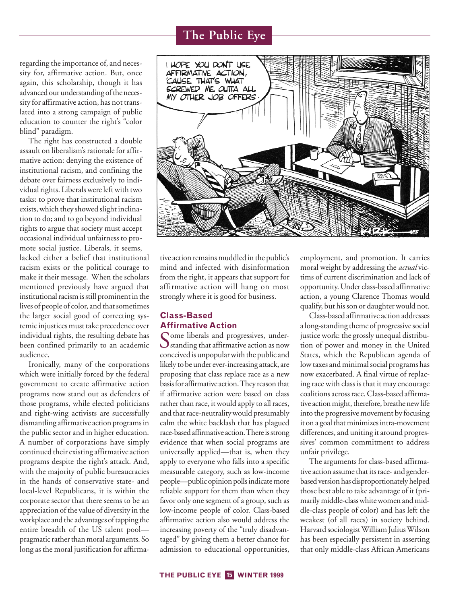regarding the importance of, and necessity for, affirmative action. But, once again, this scholarship, though it has advanced our understanding of the necessity for affirmative action, has not translated into a strong campaign of public education to counter the right's "color blind" paradigm.

The right has constructed a double assault on liberalism's rationale for affirmative action: denying the existence of institutional racism, and confining the debate over fairness exclusively to individual rights. Liberals were left with two tasks: to prove that institutional racism exists, which they showed slight inclination to do; and to go beyond individual rights to argue that society must accept occasional individual unfairness to promote social justice. Liberals, it seems, lacked either a belief that institutional racism exists or the political courage to make it their message. When the scholars mentioned previously have argued that institutional racism is still prominent in the lives of people of color, and that sometimes the larger social good of correcting systemic injustices must take precedence over individual rights, the resulting debate has been confined primarily to an academic audience.

Ironically, many of the corporations which were initially forced by the federal government to create affirmative action programs now stand out as defenders of those programs, while elected politicians and right-wing activists are successfully dismantling affirmative action programs in the public sector and in higher education. A number of corporations have simply continued their existing affirmative action programs despite the right's attack. And, with the majority of public bureaucracies in the hands of conservative state- and local-level Republicans, it is within the corporate sector that there seems to be an appreciation of the value of diversity in the workplace and the advantages of tapping the entire breadth of the US talent pool pragmatic rather than moral arguments. So long as the moral justification for affirma-



tive action remains muddled in the public's mind and infected with disinformation from the right, it appears that support for affirmative action will hang on most strongly where it is good for business.

# **Class-Based Affirmative Action**

Come liberals and progressives, under- $\bigcup$  standing that affirmative action as now conceived is unpopular with the public and likely to be under ever-increasing attack, are proposing that class replace race as a new basis for affirmative action. They reason that if affirmative action were based on class rather than race, it would apply to all races, and that race-neutrality would presumably calm the white backlash that has plagued race-based affirmative action. There is strong evidence that when social programs are universally applied—that is, when they apply to everyone who falls into a specific measurable category, such as low-income people—public opinion polls indicate more reliable support for them than when they favor only one segment of a group, such as low-income people of color. Class-based affirmative action also would address the increasing poverty of the "truly disadvantaged" by giving them a better chance for admission to educational opportunities,

employment, and promotion. It carries moral weight by addressing the *actual* victims of current discrimination and lack of opportunity. Under class-based affirmative action, a young Clarence Thomas would qualify, but his son or daughter would not.

Class-based affirmative action addresses a long-standing theme of progressive social justice work: the grossly unequal distribution of power and money in the United States, which the Republican agenda of low taxes and minimal social programs has now exacerbated. A final virtue of replacing race with class is that it may encourage coalitions across race. Class-based affirmative action might, therefore, breathe new life into the progressive movement by focusing it on a goal that minimizes intra-movement differences, and uniting it around progressives' common commitment to address unfair privilege.

The arguments for class-based affirmative action assume that its race- and genderbased version has disproportionately helped those best able to take advantage of it (primarily middle-class white women and middle-class people of color) and has left the weakest (of all races) in society behind. Harvard sociologist William Julius Wilson has been especially persistent in asserting that only middle-class African Americans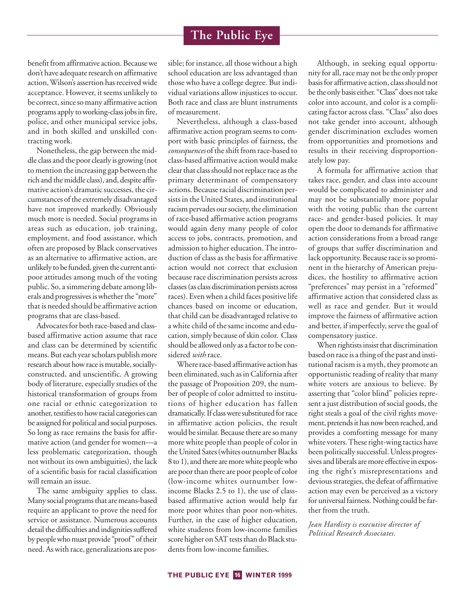benefit from affirmative action. Because we don't have adequate research on affirmative action, Wilson's assertion has received wide acceptance. However, it seems unlikely to be correct, since so many affirmative action programs apply to working-class jobs in fire, police, and other municipal service jobs, and in both skilled and unskilled contracting work.

Nonetheless, the gap between the middle class and the poor clearly is growing (not to mention the increasing gap between the rich and the middle class), and, despite affirmative action's dramatic successes, the circumstances of the extremely disadvantaged have not improved markedly. Obviously much more is needed. Social programs in areas such as education, job training, employment, and food assistance, which often are proposed by Black conservatives as an alternative to affirmative action, are unlikely to be funded, given the current antipoor attitudes among much of the voting public. So, a simmering debate among liberals and progressives is whether the "more" that is needed should be affirmative action programs that are class-based.

Advocates for both race-based and classbased affirmative action assume that race and class can be determined by scientific means. But each year scholars publish more research about how race is mutable, sociallyconstructed, and unscientific. A growing body of literature, especially studies of the historical transformation of groups from one racial or ethnic categorization to another, testifies to how racial categories can be assigned for political and social purposes. So long as race remains the basis for affirmative action (and gender for women—a less problematic categorization, though not without its own ambiguities), the lack of a scientific basis for racial classification will remain an issue.

The same ambiguity applies to class. Many social programs that are means-based require an applicant to prove the need for service or assistance. Numerous accounts detail the difficulties and indignities suffered by people who must provide "proof" of their need. As with race, generalizations are possible; for instance, all those without a high school education are less advantaged than those who have a college degree. But individual variations allow injustices to occur. Both race and class are blunt instruments of measurement.

Nevertheless, although a class-based affirmative action program seems to comport with basic principles of fairness, the *consequences* of the shift from race-based to class-based affirmative action would make clear that class should not replace race as the primary determinant of compensatory actions. Because racial discrimination persists in the United States, and institutional racism pervades our society, the elimination of race-based affirmative action programs would again deny many people of color access to jobs, contracts, promotion, and admission to higher education. The introduction of class as the basis for affirmative action would not correct that exclusion because race discrimination persists across classes (as class discrimination persists across races). Even when a child faces positive life chances based on income or education, that child can be disadvantaged relative to a white child of the same income and education, simply because of skin color. Class should be allowed only as a factor to be considered *with* race.

Where race-based affirmative action has been eliminated, such as in California after the passage of Proposition 209, the number of people of color admitted to institutions of higher education has fallen dramatically. If class were substituted for race in affirmative action policies, the result would be similar. Because there are so many more white people than people of color in the United Sates (whites outnumber Blacks 8 to 1), and there are more white people who are poor than there are poor people of color (low-income whites outnumber lowincome Blacks 2.5 to 1), the use of classbased affirmative action would help far more poor whites than poor non-whites. Further, in the case of higher education, white students from low-income families score higher on SAT tests than do Black students from low-income families.

Although, in seeking equal opportunity for all, race may not be the only proper basis for affirmative action, class should not be the only basis either. "Class" does not take color into account, and color is a complicating factor across class. "Class" also does not take gender into account, although gender discrimination excludes women from opportunities and promotions and results in their receiving disproportionately low pay.

A formula for affirmative action that takes race, gender, and class into account would be complicated to administer and may not be substantially more popular with the voting public than the current race- and gender-based policies. It may open the door to demands for affirmative action considerations from a broad range of groups that suffer discrimination and lack opportunity. Because race is so prominent in the hierarchy of American prejudices, the hostility to affirmative action "preferences" may persist in a "reformed" affirmative action that considered class as well as race and gender. But it would improve the fairness of affirmative action and better, if imperfectly, serve the goal of compensatory justice.

When rightists insist that discrimination based on race is a thing of the past and institutional racism is a myth, they promote an opportunistic reading of reality that many white voters are anxious to believe. By asserting that "color blind" policies represent a just distribution of social goods, the right steals a goal of the civil rights movement, pretends it has now been reached, and provides a comforting message for many white voters. These right-wing tactics have been politically successful. Unless progressives and liberals are more effective in exposing the right's misrepresentations and devious strategies, the defeat of affirmative action may even be perceived as a victory for universal fairness. Nothing could be farther from the truth.

*Jean Hardisty is executive director of Political Research Associates.*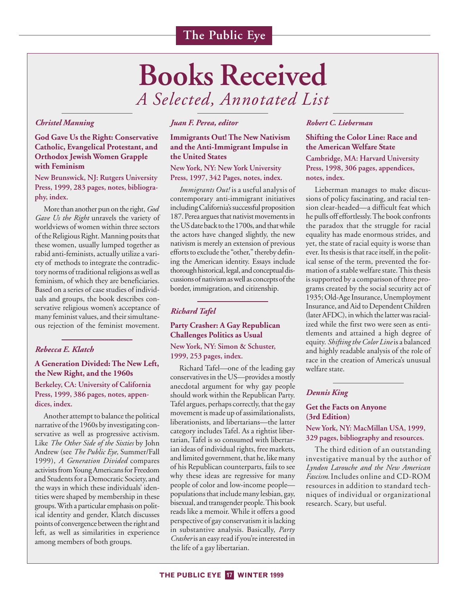# **Books Received** *A Selected, Annotated List*

# *Christel Manning*

# **God Gave Us the Right: Conservative Catholic, Evangelical Protestant, and Orthodox Jewish Women Grapple with Feminism**

**New Brunswick, NJ: Rutgers University Press, 1999, 283 pages, notes, bibliography, index.**

More than another pun on the right, *God Gave Us the Right* unravels the variety of worldviews of women within three sectors of the Religious Right. Manning posits that these women, usually lumped together as rabid anti-feminists, actually utilize a variety of methods to integrate the contradictory norms of traditional religions as well as feminism, of which they are beneficiaries. Based on a series of case studies of individuals and groups, the book describes conservative religious women's acceptance of many feminist values, and their simultaneous rejection of the feminist movement.

# *Rebecca E. Klatch*

# **A Generation Divided: The New Left, the New Right, and the 1960s Berkeley, CA: University of California Press, 1999, 386 pages, notes, appendices, index.**

Another attempt to balance the political narrative of the 1960s by investigating conservative as well as progressive activism. Like *The Other Side of the Sixties* by John Andrew (see *The Public Eye,* Summer/Fall 1999), *A Generation Divided* compares activists from Young Americans for Freedom and Students for a Democratic Society, and the ways in which these individuals' identities were shaped by membership in these groups. With a particular emphasis on political identity and gender, Klatch discusses points of convergence between the right and left, as well as similarities in experience among members of both groups.

# *Juan F. Perea, editor*

## **Immigrants Out! The New Nativism and the Anti-Immigrant Impulse in the United States**

# **New York, NY: New York University Press, 1997, 342 Pages, notes, index.**

*Immigrants Out!* is a useful analysis of contemporary anti-immigrant initiatives including California's successful proposition 187. Perea argues that nativist movements in the US date back to the 1700s, and that while the actors have changed slightly, the new nativism is merely an extension of previous efforts to exclude the "other," thereby defining the American identity. Essays include thorough historical, legal, and conceptual discussions of nativism as well as concepts of the border, immigration, and citizenship.

# *Richard Tafel*

# **Party Crasher: A Gay Republican Challenges Politics as Usual New York, NY: Simon & Schuster, 1999, 253 pages, index.**

Richard Tafel—one of the leading gay conservatives in the US—provides a mostly anecdotal argument for why gay people should work within the Republican Party. Tafel argues, perhaps correctly, that the gay movement is made up of assimilationalists, liberationists, and libertarians—the latter category includes Tafel. As a rightist libertarian, Tafel is so consumed with libertarian ideas of individual rights, free markets, and limited government, that he, like many of his Republican counterparts, fails to see why these ideas are regressive for many people of color and low-income people populations that include many lesbian, gay, bisexual, and transgender people. This book reads like a memoir. While it offers a good perspective of gay conservatism it is lacking in substantive analysis. Basically, *Party Crasher* is an easy read if you're interested in the life of a gay libertarian.

# *Robert C. Lieberman*

**Shifting the Color Line: Race and the American Welfare State Cambridge, MA: Harvard University**

**Press, 1998, 306 pages, appendices, notes, index.**

Lieberman manages to make discussions of policy fascinating, and racial tension clear-headed—a difficult feat which he pulls off effortlessly. The book confronts the paradox that the struggle for racial equality has made enormous strides, and yet, the state of racial equity is worse than ever. Its thesis is that race itself, in the political sense of the term, prevented the formation of a stable welfare state. This thesis is supported by a comparison of three programs created by the social security act of 1935; Old-Age Insurance, Unemployment Insurance, and Aid to Dependent Children (later AFDC), in which the latter was racialized while the first two were seen as entitlements and attained a high degree of equity. *Shifting the Color Line*is a balanced and highly readable analysis of the role of race in the creation of America's unusual welfare state.

# *Dennis King*

# **Get the Facts on Anyone (3rd Edition)**

**New York, NY: MacMillan USA, 1999, 329 pages, bibliography and resources.**

The third edition of an outstanding investigative manual by the author of *Lyndon Larouche and the New American Fascism.*Includes online and CD-ROM resources in addition to standard techniques of individual or organizational research. Scary, but useful.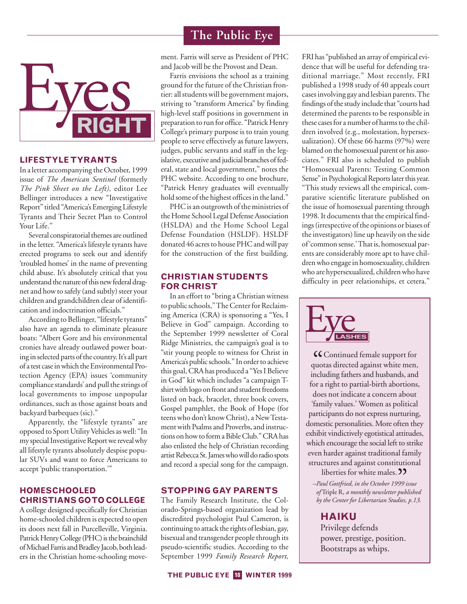

## **LIFESTYLE TYRANTS**

In a letter accompanying the October, 1999 issue of *The American Sentinel* (formerly *The Pink Sheet on the Left),* editor Lee Bellinger introduces a new "Investigative Report" titled "America's Emerging Lifestyle Tyrants and Their Secret Plan to Control Your Life."

Several conspiratorial themes are outlined in the letter. "America's lifestyle tyrants have erected programs to seek out and identify 'troubled homes' in the name of preventing child abuse. It's absolutely critical that you understand the nature of this new federal dragnet and how to safely (and subtly) steer your children and grandchildren clear of identification and indoctrination officials."

According to Bellinger, "lifestyle tyrants" also have an agenda to eliminate pleasure boats: "Albert Gore and his environmental cronies have already outlawed power boating in selected parts of the country. It's all part of a test case in which the Environmental Protection Agency (EPA) issues 'community compliance standards' and pull the strings of local governments to impose unpopular ordinances, such as those against boats and backyard barbeques (sic)."

Apparently, the "lifestyle tyrants" are opposed to Sport Utility Vehicles as well: "In my special Investigative Report we reveal why all lifestyle tyrants absolutely despise popular SUVs and want to force Americans to accept 'public transportation.'"

# **HOMESCHOOLED CHRISTIANS GO TO COLLEGE**

A college designed specifically for Christian home-schooled children is expected to open its doors next fall in Purcelleville, Virginia. Patrick Henry College (PHC) is the brainchild of Michael Farris and Bradley Jacob, both leaders in the Christian home-schooling movement. Farris will serve as President of PHC and Jacob will be the Provost and Dean.

Farris envisions the school as a training ground for the future of the Christian frontier: all students will be government majors, striving to "transform America" by finding high-level staff positions in government in preparation to run for office. "Patrick Henry College's primary purpose is to train young people to serve effectively as future lawyers, judges, public servants and staff in the legislative, executive and judicial branches of federal, state and local government," notes the PHC website. According to one brochure, "Patrick Henry graduates will eventually hold some of the highest offices in the land."

PHC is an outgrowth of the ministries of the Home School Legal Defense Association (HSLDA) and the Home School Legal Defense Foundation (HSLDF). HSLDF donated 46 acres to house PHC and will pay for the construction of the first building.

# **CHRISTIAN STUDENTS FOR CHRIST**

In an effort to "bring a Christian witness to public schools," The Center for Reclaiming America (CRA) is sponsoring a "Yes, I Believe in God" campaign. According to the September 1999 newsletter of Coral Ridge Ministries, the campaign's goal is to "stir young people to witness for Christ in America's public schools." In order to achieve this goal, CRA has produced a "Yes I Believe in God" kit which includes "a campaign Tshirt with logo on front and student freedoms listed on back, bracelet, three book covers, Gospel pamphlet, the Book of Hope (for teens who don't know Christ), a New Testament with Psalms and Proverbs, and instructions on how to form a Bible Club." CRA has also enlisted the help of Christian recording artist Rebecca St. James who will do radio spots and record a special song for the campaign.

# **STOPPING GAY PARENTS**

The Family Research Institute, the Colorado-Springs-based organization lead by discredited psychologist Paul Cameron, is continuing to attack the rights of lesbian, gay, bisexual and transgender people through its pseudo-scientific studies. According to the September 1999 *Family Research Report,*

**THE PUBLIC EYE WINTER 18 1999**

FRI has "published an array of empirical evidence that will be useful for defending traditional marriage." Most recently, FRI published a 1998 study of 40 appeals court cases involving gay and lesbian parents. The findings of the study include that "courts had determined the parents to be responsible in these cases for a number of harms to the children involved (e.g., molestation, hypersexualization). Of these 66 harms (97%) were blamed on the homosexual parent or his associates." FRI also is scheduled to publish "Homosexual Parents: Testing Common Sense" in Psychological Reports later this year. "This study reviews all the empirical, comparative scientific literature published on the issue of homosexual parenting through 1998. It documents that the empirical findings (irrespective of the opinions or biases of the investigators) line up heavily on the side of 'common sense.' That is, homosexual parents are considerably more apt to have children who engage in homosexuality, children who are hypersexualized, children who have difficulty in peer relationships, et cetera."



 $C$ <br> $\begin{bmatrix} 1 & 1 \\ 1 & 1 \\ 1 & 1 \end{bmatrix}$ CContinued female support for quotas directed against white men, including fathers and husbands, and for a right to partial-birth abortions, does not indicate a concern about 'family values.' Women as political participants do not express nurturing, domestic personalities. More often they exhibit vindictively egotistical attitudes, which encourage the social left to strike even harder against traditional family structures and against constitutional

liberties for white males. 22

*–Paul Gottfried, in the October 1999 issue*   $\frac{99}{20}$ *of* Triple R, *a monthly newsletter published by the Center for Libertarian Studies, p.13.* 

# **HAIKU**

Privilege defends power, prestige, position. Bootstraps as whips.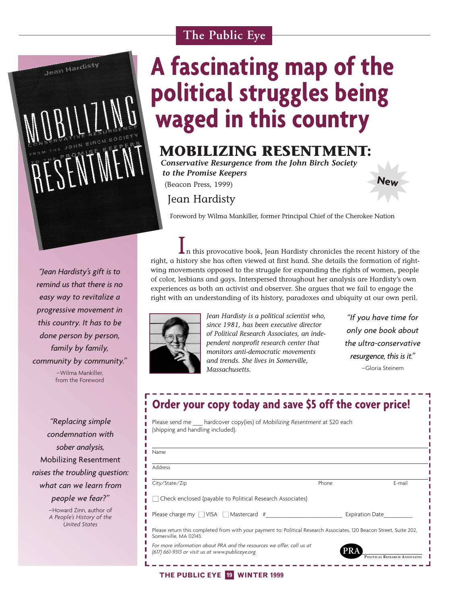# **A fascinating map of the political struggles being waged in this country**

# **MOBILIZING RESENTMEN**

*Conservative Resurgence from the John Birch Society to the Promise Keepers*

(Beacon Press, 1999)

# Jean Hardisty

Foreword by Wilma Mankiller, former Principal Chief of the Cherokee Nation

*"Jean Hardisty's gift is to remind us that there is no easy way to revitalize a progressive movement in this country. It has to be done person by person, family by family, community by community."*

Jean Hardisty

–Wilma Mankiller, from the Foreword

*"Replacing simple condemnation with sober analysis,*  Mobilizing Resentment *raises the troubling question: what can we learn from people we fear?"*

> –Howard Zinn, author of *A People's History of the United States*

In this provocative book, Jean Hardisty chronicles the recent history of the right, a history she has often viewed at first hand. She details the formation of rightwing movements opposed to the struggle for expanding the rights of women, people of color, lesbians and gays. Interspersed throughout her analysis are Hardisty's own experiences as both an activist and observer. She argues that we fail to engage the right with an understanding of its history, paradoxes and ubiquity at our own peril.



*Jean Hardisty is a political scientist who, since 1981, has been executive director of Political Research Associates, an independent nonprofit research center that monitors anti-democratic movements and trends. She lives in Somerville, Massachusetts.*

*"If you have time for only one book about the ultra-conservative resurgence, this is it."* –Gloria Steinem

**New**

| Please send me hardcover copy(ies) of <i>Mobilizing Resentment</i> at \$20 each<br>(shipping and handling included).                          |       |                 |  |
|-----------------------------------------------------------------------------------------------------------------------------------------------|-------|-----------------|--|
| Name                                                                                                                                          |       |                 |  |
| Address                                                                                                                                       |       |                 |  |
| City/State/Zip                                                                                                                                | Phone | E-mail          |  |
| $\Box$ Check enclosed (payable to Political Research Associates)                                                                              |       |                 |  |
| Please charge my $\Box$ VISA $\Box$ Mastercard #                                                                                              |       | Expiration Date |  |
| Please return this completed from with your payment to: Political Research Associates, 120 Beacon Street, Suite 202,<br>Somerville, MA 02143. |       |                 |  |
| For more information about PRA and the resources we offer, call us at<br>(617) 661-9313 or visit us at www.publiceye.org                      |       |                 |  |

**THE PUBLIC EYE WINTER 19 1999**